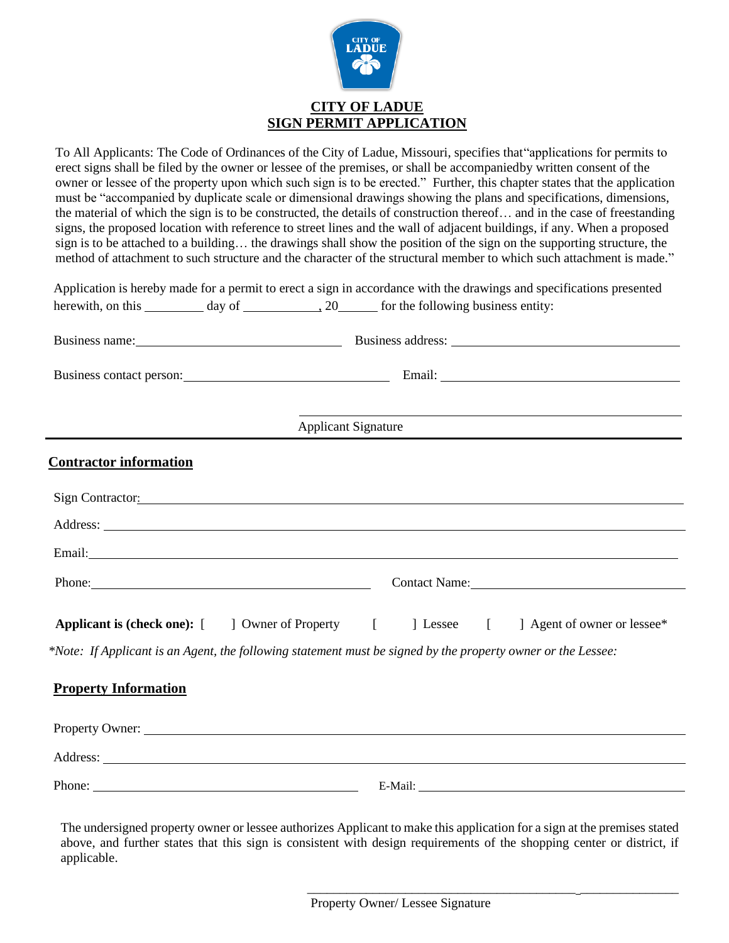

## **CITY OF LADUE SIGN PERMIT APPLICATION**

To All Applicants: The Code of Ordinances of the City of Ladue, Missouri, specifies that"applications for permits to erect signs shall be filed by the owner or lessee of the premises, or shall be accompaniedby written consent of the owner or lessee of the property upon which such sign is to be erected." Further, this chapter states that the application must be "accompanied by duplicate scale or dimensional drawings showing the plans and specifications, dimensions, the material of which the sign is to be constructed, the details of construction thereof… and in the case of freestanding signs, the proposed location with reference to street lines and the wall of adjacent buildings, if any. When a proposed sign is to be attached to a building… the drawings shall show the position of the sign on the supporting structure, the method of attachment to such structure and the character of the structural member to which such attachment is made."

|                                                                                                                                                                                                                                |                            |            | Application is hereby made for a permit to erect a sign in accordance with the drawings and specifications presented |  |
|--------------------------------------------------------------------------------------------------------------------------------------------------------------------------------------------------------------------------------|----------------------------|------------|----------------------------------------------------------------------------------------------------------------------|--|
|                                                                                                                                                                                                                                |                            |            |                                                                                                                      |  |
|                                                                                                                                                                                                                                |                            |            |                                                                                                                      |  |
|                                                                                                                                                                                                                                |                            |            | Business contact person: Email: Email:                                                                               |  |
|                                                                                                                                                                                                                                | <b>Applicant Signature</b> |            | and the control of the control of the control of the control of the control of the control of the control of the     |  |
| <b>Contractor information</b>                                                                                                                                                                                                  |                            |            |                                                                                                                      |  |
|                                                                                                                                                                                                                                |                            |            | Sign Contractor:                                                                                                     |  |
|                                                                                                                                                                                                                                |                            |            |                                                                                                                      |  |
|                                                                                                                                                                                                                                |                            |            | Email: No. 2014 19:30 No. 2014 19:30 No. 2014 19:30 No. 2014 19:30 No. 2014 19:30 No. 2014 19:30 No. 2014 19:30      |  |
| Phone: Phone and Phone and Phone and Phone and Phone and Phone and Phone and Phone and Phone and Phone and Phone and Phone and Phone and Phone and Phone and Phone and Phone and Phone and Phone and Phone and Phone and Phone |                            |            | Contact Name:                                                                                                        |  |
| <b>Applicant is (check one):</b> [ ] Owner of Property [                                                                                                                                                                       |                            | [ Lessee [ | ] Agent of owner or lessee*                                                                                          |  |
|                                                                                                                                                                                                                                |                            |            | *Note: If Applicant is an Agent, the following statement must be signed by the property owner or the Lessee:         |  |
| <b>Property Information</b>                                                                                                                                                                                                    |                            |            |                                                                                                                      |  |
|                                                                                                                                                                                                                                |                            |            |                                                                                                                      |  |
|                                                                                                                                                                                                                                |                            |            |                                                                                                                      |  |
| Phone:                                                                                                                                                                                                                         |                            |            |                                                                                                                      |  |
|                                                                                                                                                                                                                                |                            |            |                                                                                                                      |  |

The undersigned property owner or lessee authorizes Applicant to make this application for a sign at the premises stated above, and further states that this sign is consistent with design requirements of the shopping center or district, if applicable.

\_\_\_\_\_\_\_\_\_\_\_\_\_\_\_\_\_\_\_\_\_\_\_\_\_\_\_\_\_\_\_\_\_\_\_\_\_\_\_\_\_ \_\_\_\_\_\_\_\_\_\_\_\_\_\_\_